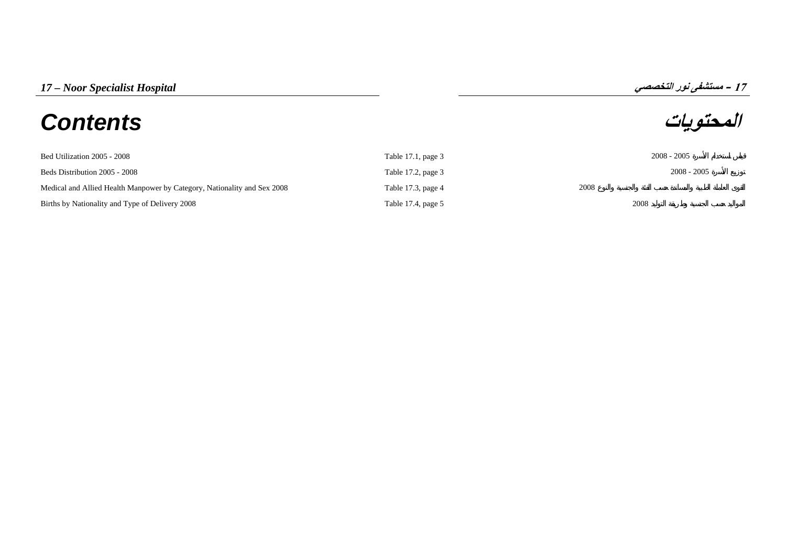## **المحتويات** *Contents*

**17**

| Bed Utilization 2005 - 2008                                              | Table 17.1, page 3 | $2008 - 2005$ |
|--------------------------------------------------------------------------|--------------------|---------------|
| Beds Distribution 2005 - 2008                                            | Table 17.2, page 3 | $2008 - 2005$ |
| Medical and Allied Health Manpower by Category, Nationality and Sex 2008 | Table 17.3, page 4 | 2008          |
| Births by Nationality and Type of Delivery 2008                          | Table 17.4, page 5 | 2008          |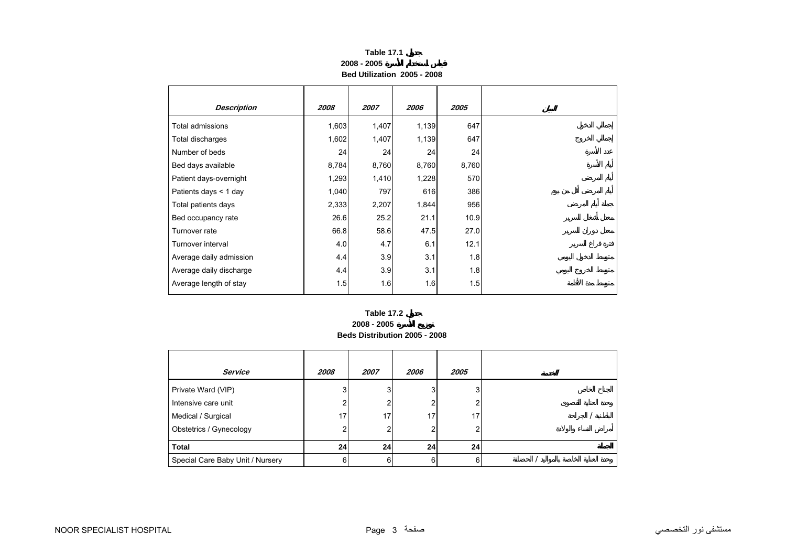| <b>Table 17.1</b>           |  |
|-----------------------------|--|
| 2008 - 2005                 |  |
| Bed Utilization 2005 - 2008 |  |

<span id="page-2-0"></span>

| <b>Description</b>      | 2008  | 2007  | 2006  | 2005  |
|-------------------------|-------|-------|-------|-------|
| Total admissions        | 1,603 | 1,407 | 1,139 | 647   |
| Total discharges        | 1,602 | 1,407 | 1,139 | 647   |
| Number of beds          | 24    | 24    | 24    | 24    |
| Bed days available      | 8,784 | 8,760 | 8,760 | 8,760 |
| Patient days-overnight  | 1,293 | 1,410 | 1,228 | 570   |
| Patients days < 1 day   | 1,040 | 797   | 616   | 386   |
| Total patients days     | 2,333 | 2,207 | 1,844 | 956   |
| Bed occupancy rate      | 26.6  | 25.2  | 21.1  | 10.9  |
| Turnover rate           | 66.8  | 58.6  | 47.5  | 27.0  |
| Turnover interval       | 4.0   | 4.7   | 6.1   | 12.1  |
| Average daily admission | 4.4   | 3.9   | 3.1   | 1.8   |
| Average daily discharge | 4.4   | 3.9   | 3.1   | 1.8   |
| Average length of stay  | 1.5   | 1.6   | 1.6   | 1.5   |

## **2008 - 2005 Beds Distribution 2005 - 2008 Table 17.2**

| Service                          | 2008 | 2007 | 2006 | 2005            |  |
|----------------------------------|------|------|------|-----------------|--|
| Private Ward (VIP)               | 3    | 3    | 3    | 3               |  |
| Intensive care unit              |      | 2    | 2    |                 |  |
| Medical / Surgical               | 17   | 17   | 17   | 17.             |  |
| Obstetrics / Gynecology          |      | 2    | 2    |                 |  |
| Total                            | 24   | 24   | 24   | 24 <sup>1</sup> |  |
| Special Care Baby Unit / Nursery |      | 6    | 6    | ี               |  |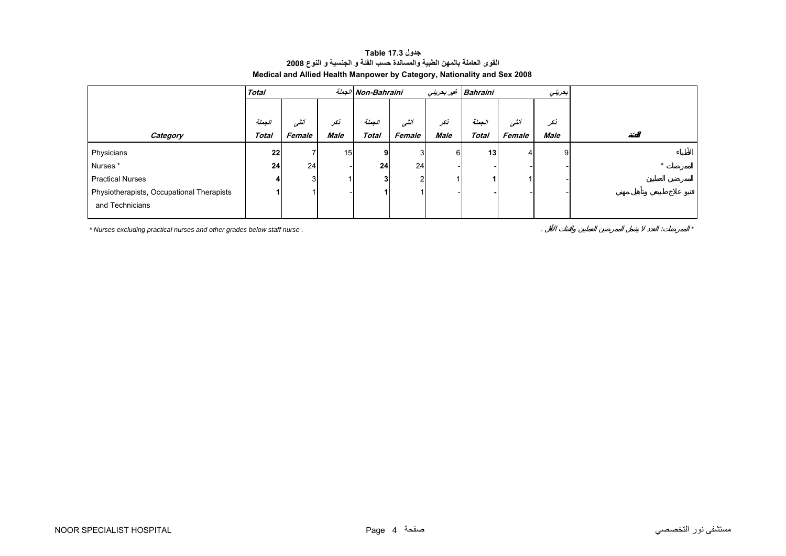| جدول Table 17.3                                                          |  |  |  |  |  |  |  |
|--------------------------------------------------------------------------|--|--|--|--|--|--|--|
| القوى العاملة بالمهن الطبية والمساندة حسب الفنة و الجنسية و النوع 2008   |  |  |  |  |  |  |  |
| Medical and Allied Health Manpower by Category, Nationality and Sex 2008 |  |  |  |  |  |  |  |

<span id="page-3-0"></span>

| <b>Total</b> |        | الجملة Non-Bahraini |              |                 | Bahraini غير بحريني<br>بحريني |              |        |                 |         |
|--------------|--------|---------------------|--------------|-----------------|-------------------------------|--------------|--------|-----------------|---------|
|              |        |                     |              |                 |                               |              |        |                 |         |
| الجملة       | أنشى   | نکر                 | الحملة       | أنشور           | نكر                           | الجملة       | أنشى   | نكر             |         |
| <b>Total</b> | Female | Male                | <b>Total</b> | Female          | <b>Male</b>                   | <b>Total</b> | Female | Male            |         |
| 22           |        |                     | 9            | 3               | 6                             |              |        | 9               |         |
| 24           | 24     |                     | 24           |                 |                               |              |        |                 | $\star$ |
|              |        |                     | 3            | $\sim$          |                               |              |        |                 |         |
|              |        |                     |              |                 |                               |              |        |                 |         |
|              |        |                     |              |                 |                               |              |        |                 |         |
|              |        |                     |              | 15 <sub>l</sub> |                               | 24           |        | 13 <sub>1</sub> |         |

*\* Nurses excluding practical nurses and other grades below staff nurse .* . : *\**